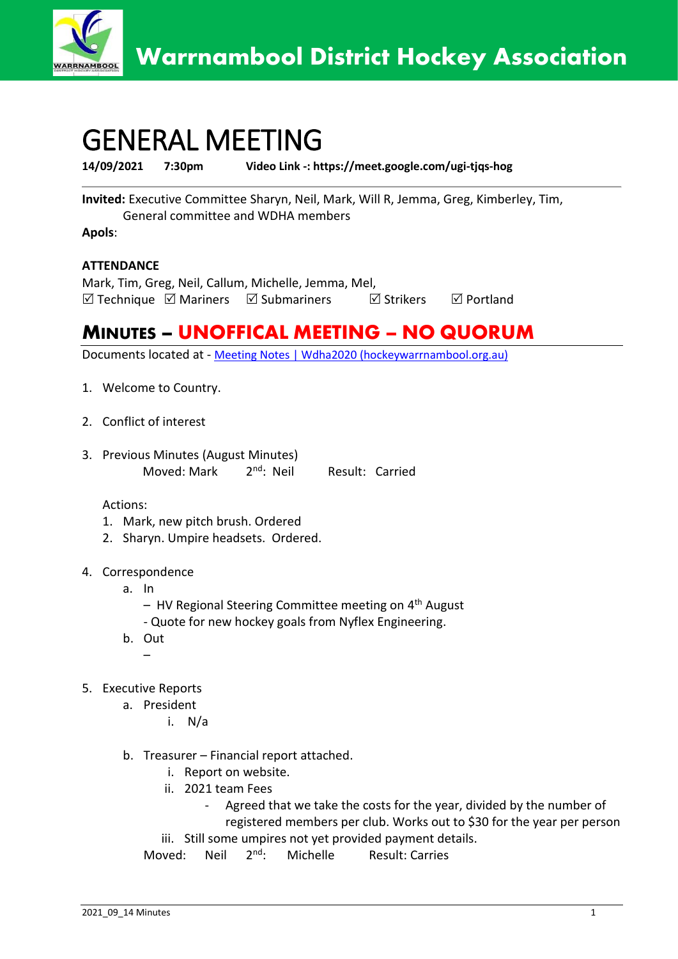

## GENERAL MEETING

**14/09/2021 7:30pm Video Link -: https://meet.google.com/ugi-tjqs-hog**

**Invited:** Executive Committee Sharyn, Neil, Mark, Will R, Jemma, Greg, Kimberley, Tim, General committee and WDHA members

**Apols**:

## **ATTENDANCE**

Mark, Tim, Greg, Neil, Callum, Michelle, Jemma, Mel,  $\boxtimes$  Technique  $\boxtimes$  Mariners  $\boxtimes$  Submariners  $\boxtimes$  Strikers  $\boxtimes$  Portland

## **MINUTES – UNOFFICAL MEETING – NO QUORUM**

Documents located at - [Meeting Notes | Wdha2020 \(hockeywarrnambool.org.au\)](https://www.hockeywarrnambool.org.au/meeting-notes)

- 1. Welcome to Country.
- 2. Conflict of interest
- 3. Previous Minutes (August Minutes) Moved: Mark 2<sup>nd</sup>: Neil Result: Carried

Actions:

- 1. Mark, new pitch brush. Ordered
- 2. Sharyn. Umpire headsets. Ordered.
- 4. Correspondence
	- a. In
		- HV Regional Steering Committee meeting on 4<sup>th</sup> August
		- Quote for new hockey goals from Nyflex Engineering.
	- b. Out
		- $\mathcal{L}_{\mathcal{A}}$
- 5. Executive Reports
	- a. President
		- i. N/a
	- b. Treasurer Financial report attached.
		- i. Report on website.
		- ii. 2021 team Fees
			- Agreed that we take the costs for the year, divided by the number of registered members per club. Works out to \$30 for the year per person
		- iii. Still some umpires not yet provided payment details.

Moved: Neil 2<sup>nd</sup>: Michelle Result: Carries